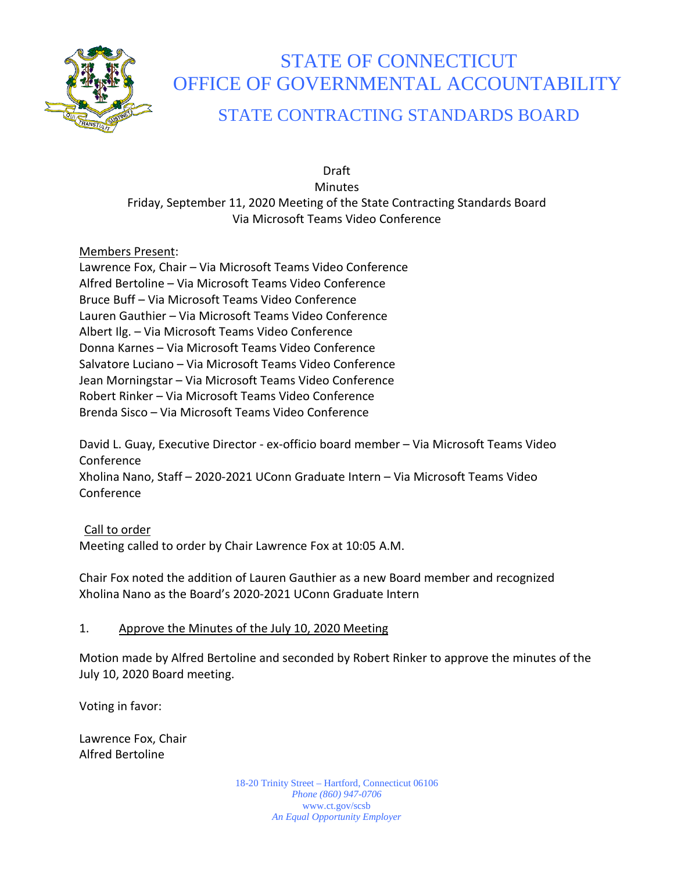

# STATE OF CONNECTICUT OFFICE OF GOVERNMENTAL ACCOUNTABILITY STATE CONTRACTING STANDARDS BOARD

Draft Minutes Friday, September 11, 2020 Meeting of the State Contracting Standards Board Via Microsoft Teams Video Conference

## Members Present:

Lawrence Fox, Chair – Via Microsoft Teams Video Conference Alfred Bertoline – Via Microsoft Teams Video Conference Bruce Buff – Via Microsoft Teams Video Conference Lauren Gauthier – Via Microsoft Teams Video Conference Albert Ilg. – Via Microsoft Teams Video Conference Donna Karnes – Via Microsoft Teams Video Conference Salvatore Luciano – Via Microsoft Teams Video Conference Jean Morningstar – Via Microsoft Teams Video Conference Robert Rinker – Via Microsoft Teams Video Conference Brenda Sisco – Via Microsoft Teams Video Conference

David L. Guay, Executive Director - ex-officio board member – Via Microsoft Teams Video Conference Xholina Nano, Staff – 2020-2021 UConn Graduate Intern – Via Microsoft Teams Video Conference

Call to order Meeting called to order by Chair Lawrence Fox at 10:05 A.M.

Chair Fox noted the addition of Lauren Gauthier as a new Board member and recognized Xholina Nano as the Board's 2020-2021 UConn Graduate Intern

#### 1. Approve the Minutes of the July 10, 2020 Meeting

Motion made by Alfred Bertoline and seconded by Robert Rinker to approve the minutes of the July 10, 2020 Board meeting.

Voting in favor:

Lawrence Fox, Chair Alfred Bertoline

> 18-20 Trinity Street – Hartford, Connecticut 06106 *Phone (860) 947-0706*  www.ct.gov/scsb *An Equal Opportunity Employer*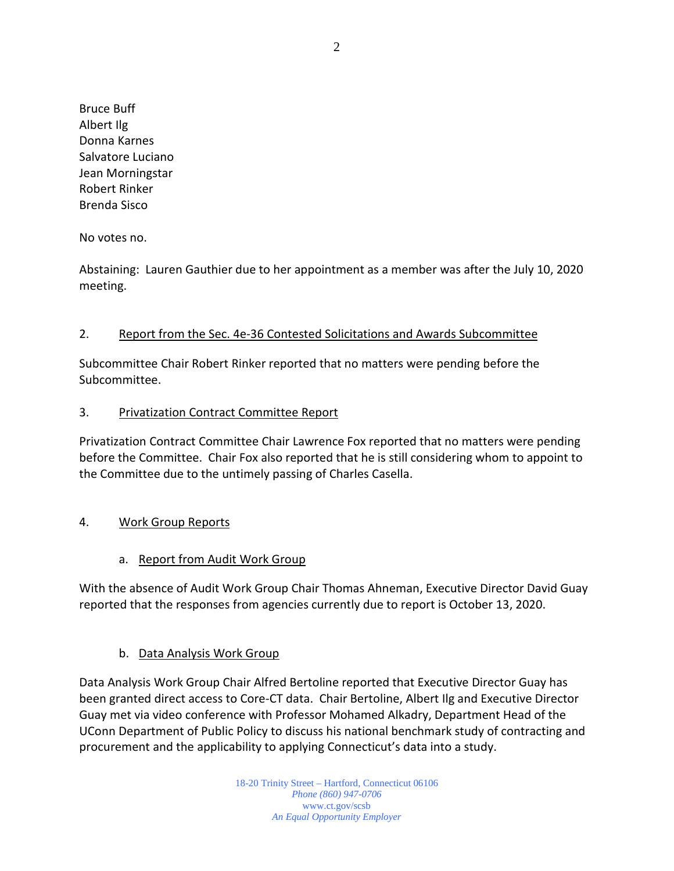Bruce Buff Albert Ilg Donna Karnes Salvatore Luciano Jean Morningstar Robert Rinker Brenda Sisco

No votes no.

Abstaining: Lauren Gauthier due to her appointment as a member was after the July 10, 2020 meeting.

## 2. Report from the Sec. 4e-36 Contested Solicitations and Awards Subcommittee

Subcommittee Chair Robert Rinker reported that no matters were pending before the Subcommittee.

#### 3. Privatization Contract Committee Report

Privatization Contract Committee Chair Lawrence Fox reported that no matters were pending before the Committee. Chair Fox also reported that he is still considering whom to appoint to the Committee due to the untimely passing of Charles Casella.

## 4. Work Group Reports

## a. Report from Audit Work Group

With the absence of Audit Work Group Chair Thomas Ahneman, Executive Director David Guay reported that the responses from agencies currently due to report is October 13, 2020.

## b. Data Analysis Work Group

Data Analysis Work Group Chair Alfred Bertoline reported that Executive Director Guay has been granted direct access to Core-CT data. Chair Bertoline, Albert Ilg and Executive Director Guay met via video conference with Professor Mohamed Alkadry, Department Head of the UConn Department of Public Policy to discuss his national benchmark study of contracting and procurement and the applicability to applying Connecticut's data into a study.

> 18-20 Trinity Street – Hartford, Connecticut 06106 *Phone (860) 947-0706*  www.ct.gov/scsb *An Equal Opportunity Employer*